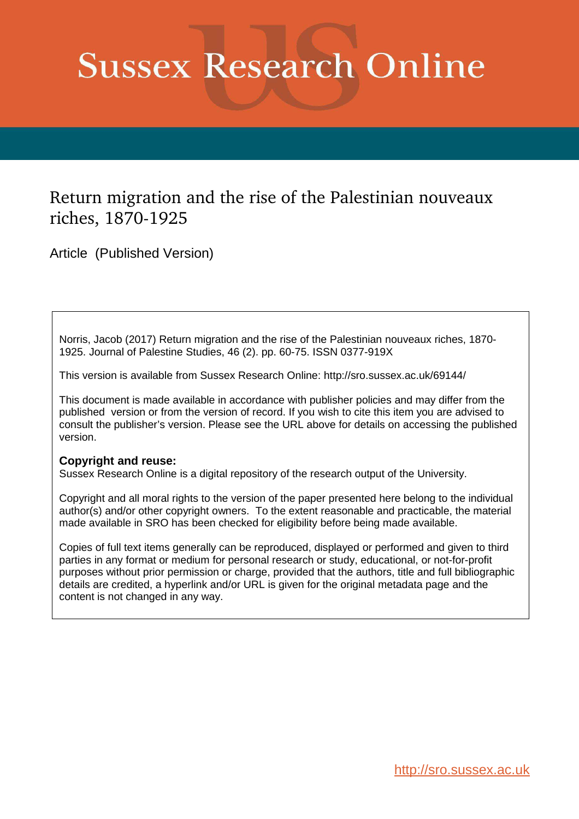# **Sussex Research Online**

### Return migration and the rise of the Palestinian nouveaux riches, 1870-1925

Article (Published Version)

Norris, Jacob (2017) Return migration and the rise of the Palestinian nouveaux riches, 1870- 1925. Journal of Palestine Studies, 46 (2). pp. 60-75. ISSN 0377-919X

This version is available from Sussex Research Online: http://sro.sussex.ac.uk/69144/

This document is made available in accordance with publisher policies and may differ from the published version or from the version of record. If you wish to cite this item you are advised to consult the publisher's version. Please see the URL above for details on accessing the published version.

#### **Copyright and reuse:**

Sussex Research Online is a digital repository of the research output of the University.

Copyright and all moral rights to the version of the paper presented here belong to the individual author(s) and/or other copyright owners. To the extent reasonable and practicable, the material made available in SRO has been checked for eligibility before being made available.

Copies of full text items generally can be reproduced, displayed or performed and given to third parties in any format or medium for personal research or study, educational, or not-for-profit purposes without prior permission or charge, provided that the authors, title and full bibliographic details are credited, a hyperlink and/or URL is given for the original metadata page and the content is not changed in any way.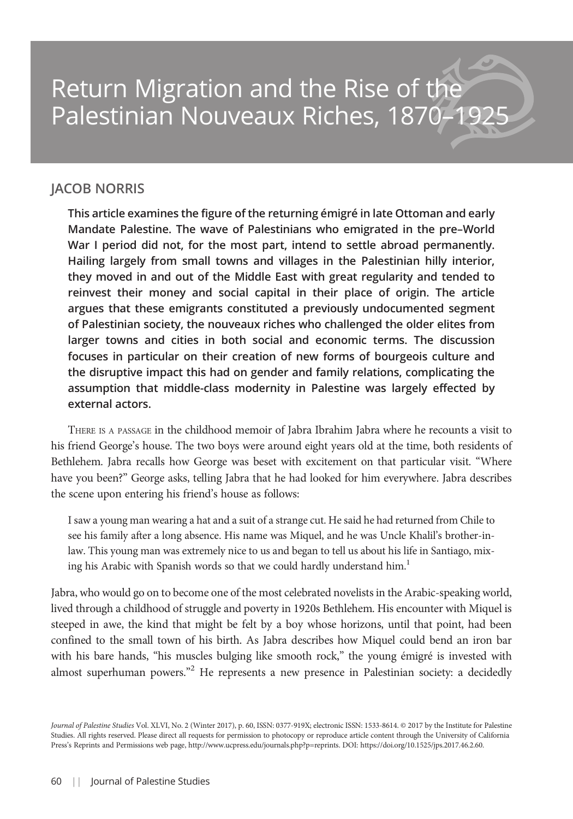## Return Migration and the Rise of the Palestinian Nouveaux Riches, 1870-

#### JACOB NORRIS

This article examines the figure of the returning émigré in late Ottoman and early Mandate Palestine. The wave of Palestinians who emigrated in the pre–World War I period did not, for the most part, intend to settle abroad permanently. Hailing largely from small towns and villages in the Palestinian hilly interior, they moved in and out of the Middle East with great regularity and tended to reinvest their money and social capital in their place of origin. The article argues that these emigrants constituted a previously undocumented segment of Palestinian society, the nouveaux riches who challenged the older elites from larger towns and cities in both social and economic terms. The discussion focuses in particular on their creation of new forms of bourgeois culture and the disruptive impact this had on gender and family relations, complicating the assumption that middle-class modernity in Palestine was largely effected by external actors.

THERE IS A PASSAGE in the childhood memoir of Jabra Ibrahim Jabra where he recounts a visit to his friend George's house. The two boys were around eight years old at the time, both residents of Bethlehem. Jabra recalls how George was beset with excitement on that particular visit. "Where have you been?" George asks, telling Jabra that he had looked for him everywhere. Jabra describes the scene upon entering his friend's house as follows:

I saw a young man wearing a hat and a suit of a strange cut. He said he had returned from Chile to see his family after a long absence. His name was Miquel, and he was Uncle Khalil's brother-inlaw. This young man was extremely nice to us and began to tell us about his life in Santiago, mixing his Arabic with Spanish words so that we could hardly understand him.<sup>1</sup>

Jabra, who would go on to become one of the most celebrated novelists in the Arabic-speaking world, lived through a childhood of struggle and poverty in 1920s Bethlehem. His encounter with Miquel is steeped in awe, the kind that might be felt by a boy whose horizons, until that point, had been confined to the small town of his birth. As Jabra describes how Miquel could bend an iron bar with his bare hands, "his muscles bulging like smooth rock," the young émigré is invested with almost superhuman powers."<sup>2</sup> He represents a new presence in Palestinian society: a decidedly

Journal of Palestine Studies Vol. XLVI, No. 2 (Winter 2017), p. 60, ISSN: 0377-919X; electronic ISSN: 1533-8614. © 2017 by the Institute for Palestine Studies. All rights reserved. Please direct all requests for permission to photocopy or reproduce article content through the University of California Press's Reprints and Permissions web page, http://www.ucpress.edu/journals.php?p=reprints. DOI: https://doi.org/10.1525/jps.2017.46.2.60.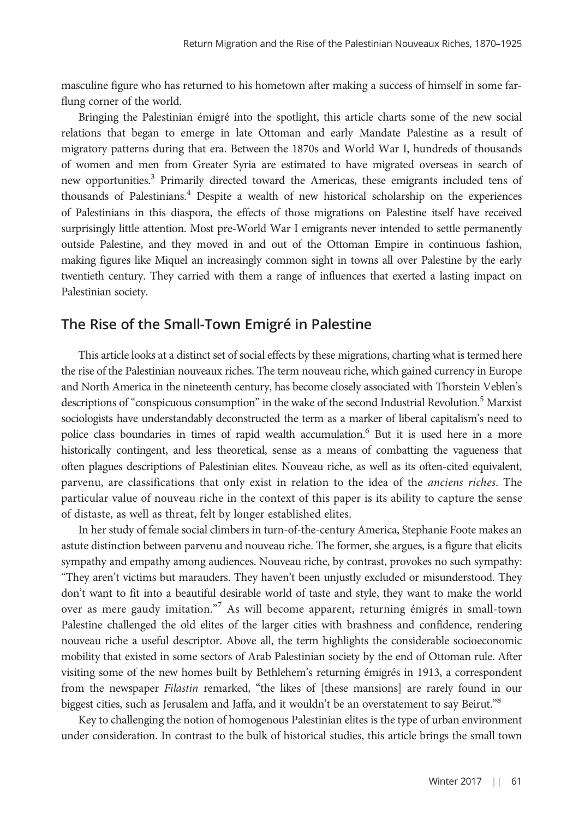masculine figure who has returned to his hometown after making a success of himself in some farflung corner of the world.

Bringing the Palestinian émigré into the spotlight, this article charts some of the new social relations that began to emerge in late Ottoman and early Mandate Palestine as a result of migratory patterns during that era. Between the 1870s and World War I, hundreds of thousands of women and men from Greater Syria are estimated to have migrated overseas in search of new opportunities.<sup>3</sup> Primarily directed toward the Americas, these emigrants included tens of thousands of Palestinians.<sup>4</sup> Despite a wealth of new historical scholarship on the experiences of Palestinians in this diaspora, the effects of those migrations on Palestine itself have received surprisingly little attention. Most pre-World War I emigrants never intended to settle permanently outside Palestine, and they moved in and out of the Ottoman Empire in continuous fashion, making figures like Miquel an increasingly common sight in towns all over Palestine by the early twentieth century. They carried with them a range of influences that exerted a lasting impact on Palestinian society.

#### The Rise of the Small-Town Emigré in Palestine

This article looks at a distinct set of social effects by these migrations, charting what is termed here the rise of the Palestinian nouveaux riches. The term nouveau riche, which gained currency in Europe and North America in the nineteenth century, has become closely associated with Thorstein Veblen's descriptions of "conspicuous consumption" in the wake of the second Industrial Revolution.<sup>5</sup> Marxist sociologists have understandably deconstructed the term as a marker of liberal capitalism's need to police class boundaries in times of rapid wealth accumulation.<sup>6</sup> But it is used here in a more historically contingent, and less theoretical, sense as a means of combatting the vagueness that often plagues descriptions of Palestinian elites. Nouveau riche, as well as its often-cited equivalent, parvenu, are classifications that only exist in relation to the idea of the *anciens riches*. The particular value of nouveau riche in the context of this paper is its ability to capture the sense of distaste, as well as threat, felt by longer established elites.

In her study of female social climbers in turn-of-the-century America, Stephanie Foote makes an astute distinction between parvenu and nouveau riche. The former, she argues, is a figure that elicits sympathy and empathy among audiences. Nouveau riche, by contrast, provokes no such sympathy: "They aren't victims but marauders. They haven't been unjustly excluded or misunderstood. They don't want to fit into a beautiful desirable world of taste and style, they want to make the world over as mere gaudy imitation."<sup>7</sup> As will become apparent, returning émigrés in small-town Palestine challenged the old elites of the larger cities with brashness and confidence, rendering nouveau riche a useful descriptor. Above all, the term highlights the considerable socioeconomic mobility that existed in some sectors of Arab Palestinian society by the end of Ottoman rule. After visiting some of the new homes built by Bethlehem's returning émigrés in 1913, a correspondent from the newspaper Filastin remarked, "the likes of [these mansions] are rarely found in our biggest cities, such as Jerusalem and Jaffa, and it wouldn't be an overstatement to say Beirut."<sup>8</sup>

Key to challenging the notion of homogenous Palestinian elites is the type of urban environment under consideration. In contrast to the bulk of historical studies, this article brings the small town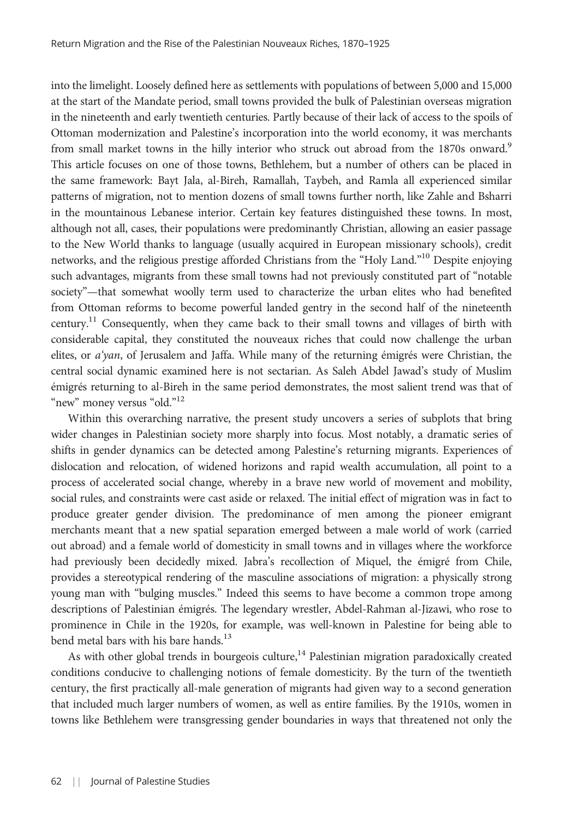into the limelight. Loosely defined here as settlements with populations of between 5,000 and 15,000 at the start of the Mandate period, small towns provided the bulk of Palestinian overseas migration in the nineteenth and early twentieth centuries. Partly because of their lack of access to the spoils of Ottoman modernization and Palestine's incorporation into the world economy, it was merchants from small market towns in the hilly interior who struck out abroad from the 1870s onward.<sup>9</sup> This article focuses on one of those towns, Bethlehem, but a number of others can be placed in the same framework: Bayt Jala, al-Bireh, Ramallah, Taybeh, and Ramla all experienced similar patterns of migration, not to mention dozens of small towns further north, like Zahle and Bsharri in the mountainous Lebanese interior. Certain key features distinguished these towns. In most, although not all, cases, their populations were predominantly Christian, allowing an easier passage to the New World thanks to language (usually acquired in European missionary schools), credit networks, and the religious prestige afforded Christians from the "Holy Land."<sup>10</sup> Despite enjoying such advantages, migrants from these small towns had not previously constituted part of "notable society"—that somewhat woolly term used to characterize the urban elites who had benefited from Ottoman reforms to become powerful landed gentry in the second half of the nineteenth century.<sup>11</sup> Consequently, when they came back to their small towns and villages of birth with considerable capital, they constituted the nouveaux riches that could now challenge the urban elites, or  $a'$ yan, of Jerusalem and Jaffa. While many of the returning émigrés were Christian, the central social dynamic examined here is not sectarian. As Saleh Abdel Jawad's study of Muslim émigrés returning to al-Bireh in the same period demonstrates, the most salient trend was that of "new" money versus "old."<sup>12</sup>

Within this overarching narrative, the present study uncovers a series of subplots that bring wider changes in Palestinian society more sharply into focus. Most notably, a dramatic series of shifts in gender dynamics can be detected among Palestine's returning migrants. Experiences of dislocation and relocation, of widened horizons and rapid wealth accumulation, all point to a process of accelerated social change, whereby in a brave new world of movement and mobility, social rules, and constraints were cast aside or relaxed. The initial effect of migration was in fact to produce greater gender division. The predominance of men among the pioneer emigrant merchants meant that a new spatial separation emerged between a male world of work (carried out abroad) and a female world of domesticity in small towns and in villages where the workforce had previously been decidedly mixed. Jabra's recollection of Miquel, the émigré from Chile, provides a stereotypical rendering of the masculine associations of migration: a physically strong young man with "bulging muscles." Indeed this seems to have become a common trope among descriptions of Palestinian émigrés. The legendary wrestler, Abdel-Rahman al-Jizawi, who rose to prominence in Chile in the 1920s, for example, was well-known in Palestine for being able to bend metal bars with his bare hands.<sup>13</sup>

As with other global trends in bourgeois culture, $14$  Palestinian migration paradoxically created conditions conducive to challenging notions of female domesticity. By the turn of the twentieth century, the first practically all-male generation of migrants had given way to a second generation that included much larger numbers of women, as well as entire families. By the 1910s, women in towns like Bethlehem were transgressing gender boundaries in ways that threatened not only the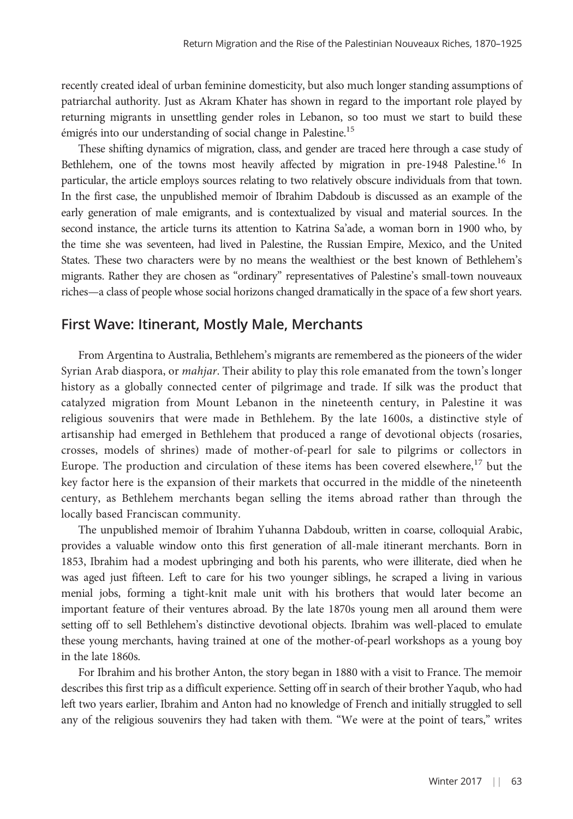recently created ideal of urban feminine domesticity, but also much longer standing assumptions of patriarchal authority. Just as Akram Khater has shown in regard to the important role played by returning migrants in unsettling gender roles in Lebanon, so too must we start to build these émigrés into our understanding of social change in Palestine.<sup>15</sup>

These shifting dynamics of migration, class, and gender are traced here through a case study of Bethlehem, one of the towns most heavily affected by migration in pre-1948 Palestine.<sup>16</sup> In particular, the article employs sources relating to two relatively obscure individuals from that town. In the first case, the unpublished memoir of Ibrahim Dabdoub is discussed as an example of the early generation of male emigrants, and is contextualized by visual and material sources. In the second instance, the article turns its attention to Katrina Sa'ade, a woman born in 1900 who, by the time she was seventeen, had lived in Palestine, the Russian Empire, Mexico, and the United States. These two characters were by no means the wealthiest or the best known of Bethlehem's migrants. Rather they are chosen as "ordinary" representatives of Palestine's small-town nouveaux riches—a class of people whose social horizons changed dramatically in the space of a few short years.

#### First Wave: Itinerant, Mostly Male, Merchants

From Argentina to Australia, Bethlehem's migrants are remembered as the pioneers of the wider Syrian Arab diaspora, or *mahjar*. Their ability to play this role emanated from the town's longer history as a globally connected center of pilgrimage and trade. If silk was the product that catalyzed migration from Mount Lebanon in the nineteenth century, in Palestine it was religious souvenirs that were made in Bethlehem. By the late 1600s, a distinctive style of artisanship had emerged in Bethlehem that produced a range of devotional objects (rosaries, crosses, models of shrines) made of mother-of-pearl for sale to pilgrims or collectors in Europe. The production and circulation of these items has been covered elsewhere, $17$  but the key factor here is the expansion of their markets that occurred in the middle of the nineteenth century, as Bethlehem merchants began selling the items abroad rather than through the locally based Franciscan community.

The unpublished memoir of Ibrahim Yuhanna Dabdoub, written in coarse, colloquial Arabic, provides a valuable window onto this first generation of all-male itinerant merchants. Born in 1853, Ibrahim had a modest upbringing and both his parents, who were illiterate, died when he was aged just fifteen. Left to care for his two younger siblings, he scraped a living in various menial jobs, forming a tight-knit male unit with his brothers that would later become an important feature of their ventures abroad. By the late 1870s young men all around them were setting off to sell Bethlehem's distinctive devotional objects. Ibrahim was well-placed to emulate these young merchants, having trained at one of the mother-of-pearl workshops as a young boy in the late 1860s.

For Ibrahim and his brother Anton, the story began in 1880 with a visit to France. The memoir describes this first trip as a difficult experience. Setting off in search of their brother Yaqub, who had left two years earlier, Ibrahim and Anton had no knowledge of French and initially struggled to sell any of the religious souvenirs they had taken with them. "We were at the point of tears," writes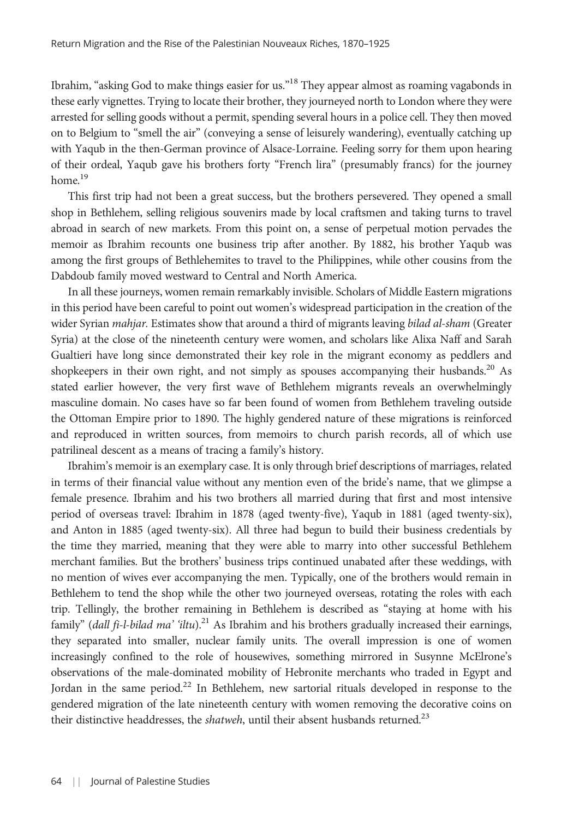Ibrahim, "asking God to make things easier for us."<sup>18</sup> They appear almost as roaming vagabonds in these early vignettes. Trying to locate their brother, they journeyed north to London where they were arrested for selling goods without a permit, spending several hours in a police cell. They then moved on to Belgium to "smell the air" (conveying a sense of leisurely wandering), eventually catching up with Yaqub in the then-German province of Alsace-Lorraine. Feeling sorry for them upon hearing of their ordeal, Yaqub gave his brothers forty "French lira" (presumably francs) for the journey home.<sup>19</sup>

This first trip had not been a great success, but the brothers persevered. They opened a small shop in Bethlehem, selling religious souvenirs made by local craftsmen and taking turns to travel abroad in search of new markets. From this point on, a sense of perpetual motion pervades the memoir as Ibrahim recounts one business trip after another. By 1882, his brother Yaqub was among the first groups of Bethlehemites to travel to the Philippines, while other cousins from the Dabdoub family moved westward to Central and North America.

In all these journeys, women remain remarkably invisible. Scholars of Middle Eastern migrations in this period have been careful to point out women's widespread participation in the creation of the wider Syrian *mahjar*. Estimates show that around a third of migrants leaving bilad al-sham (Greater Syria) at the close of the nineteenth century were women, and scholars like Alixa Naff and Sarah Gualtieri have long since demonstrated their key role in the migrant economy as peddlers and shopkeepers in their own right, and not simply as spouses accompanying their husbands.<sup>20</sup> As stated earlier however, the very first wave of Bethlehem migrants reveals an overwhelmingly masculine domain. No cases have so far been found of women from Bethlehem traveling outside the Ottoman Empire prior to 1890. The highly gendered nature of these migrations is reinforced and reproduced in written sources, from memoirs to church parish records, all of which use patrilineal descent as a means of tracing a family's history.

Ibrahim's memoir is an exemplary case. It is only through brief descriptions of marriages, related in terms of their financial value without any mention even of the bride's name, that we glimpse a female presence. Ibrahim and his two brothers all married during that first and most intensive period of overseas travel: Ibrahim in 1878 (aged twenty-five), Yaqub in 1881 (aged twenty-six), and Anton in 1885 (aged twenty-six). All three had begun to build their business credentials by the time they married, meaning that they were able to marry into other successful Bethlehem merchant families. But the brothers' business trips continued unabated after these weddings, with no mention of wives ever accompanying the men. Typically, one of the brothers would remain in Bethlehem to tend the shop while the other two journeyed overseas, rotating the roles with each trip. Tellingly, the brother remaining in Bethlehem is described as "staying at home with his family" (dall fi-l-bilad ma' 'iltu).<sup>21</sup> As Ibrahim and his brothers gradually increased their earnings, they separated into smaller, nuclear family units. The overall impression is one of women increasingly confined to the role of housewives, something mirrored in Susynne McElrone's observations of the male-dominated mobility of Hebronite merchants who traded in Egypt and Jordan in the same period.<sup>22</sup> In Bethlehem, new sartorial rituals developed in response to the gendered migration of the late nineteenth century with women removing the decorative coins on their distinctive headdresses, the *shatweh*, until their absent husbands returned.<sup>23</sup>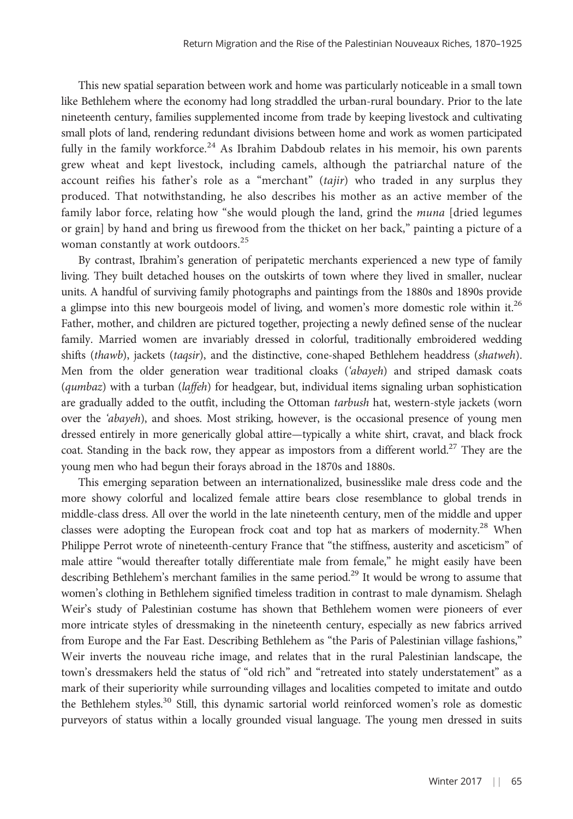This new spatial separation between work and home was particularly noticeable in a small town like Bethlehem where the economy had long straddled the urban-rural boundary. Prior to the late nineteenth century, families supplemented income from trade by keeping livestock and cultivating small plots of land, rendering redundant divisions between home and work as women participated fully in the family workforce.<sup>24</sup> As Ibrahim Dabdoub relates in his memoir, his own parents grew wheat and kept livestock, including camels, although the patriarchal nature of the account reifies his father's role as a "merchant" (tajir) who traded in any surplus they produced. That notwithstanding, he also describes his mother as an active member of the family labor force, relating how "she would plough the land, grind the muna [dried legumes or grain] by hand and bring us firewood from the thicket on her back," painting a picture of a woman constantly at work outdoors.<sup>25</sup>

By contrast, Ibrahim's generation of peripatetic merchants experienced a new type of family living. They built detached houses on the outskirts of town where they lived in smaller, nuclear units. A handful of surviving family photographs and paintings from the 1880s and 1890s provide a glimpse into this new bourgeois model of living, and women's more domestic role within it.<sup>26</sup> Father, mother, and children are pictured together, projecting a newly defined sense of the nuclear family. Married women are invariably dressed in colorful, traditionally embroidered wedding shifts (thawb), jackets (taqsir), and the distinctive, cone-shaped Bethlehem headdress (shatweh). Men from the older generation wear traditional cloaks ('abayeh) and striped damask coats (qumbaz) with a turban (laffeh) for headgear, but, individual items signaling urban sophistication are gradually added to the outfit, including the Ottoman tarbush hat, western-style jackets (worn over the 'abayeh), and shoes. Most striking, however, is the occasional presence of young men dressed entirely in more generically global attire—typically a white shirt, cravat, and black frock coat. Standing in the back row, they appear as impostors from a different world.<sup>27</sup> They are the young men who had begun their forays abroad in the 1870s and 1880s.

This emerging separation between an internationalized, businesslike male dress code and the more showy colorful and localized female attire bears close resemblance to global trends in middle-class dress. All over the world in the late nineteenth century, men of the middle and upper classes were adopting the European frock coat and top hat as markers of modernity.<sup>28</sup> When Philippe Perrot wrote of nineteenth-century France that "the stiffness, austerity and asceticism" of male attire "would thereafter totally differentiate male from female," he might easily have been describing Bethlehem's merchant families in the same period.<sup>29</sup> It would be wrong to assume that women's clothing in Bethlehem signified timeless tradition in contrast to male dynamism. Shelagh Weir's study of Palestinian costume has shown that Bethlehem women were pioneers of ever more intricate styles of dressmaking in the nineteenth century, especially as new fabrics arrived from Europe and the Far East. Describing Bethlehem as "the Paris of Palestinian village fashions," Weir inverts the nouveau riche image, and relates that in the rural Palestinian landscape, the town's dressmakers held the status of "old rich" and "retreated into stately understatement" as a mark of their superiority while surrounding villages and localities competed to imitate and outdo the Bethlehem styles.<sup>30</sup> Still, this dynamic sartorial world reinforced women's role as domestic purveyors of status within a locally grounded visual language. The young men dressed in suits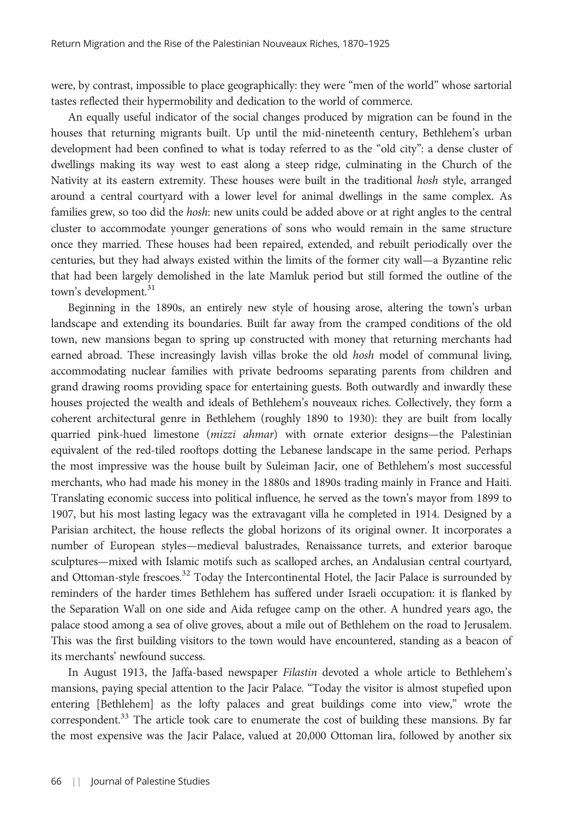were, by contrast, impossible to place geographically: they were "men of the world" whose sartorial tastes reflected their hypermobility and dedication to the world of commerce.

An equally useful indicator of the social changes produced by migration can be found in the houses that returning migrants built. Up until the mid-nineteenth century, Bethlehem's urban development had been confined to what is today referred to as the "old city": a dense cluster of dwellings making its way west to east along a steep ridge, culminating in the Church of the Nativity at its eastern extremity. These houses were built in the traditional hosh style, arranged around a central courtyard with a lower level for animal dwellings in the same complex. As families grew, so too did the hosh: new units could be added above or at right angles to the central cluster to accommodate younger generations of sons who would remain in the same structure once they married. These houses had been repaired, extended, and rebuilt periodically over the centuries, but they had always existed within the limits of the former city wall—a Byzantine relic that had been largely demolished in the late Mamluk period but still formed the outline of the town's development.<sup>31</sup>

Beginning in the 1890s, an entirely new style of housing arose, altering the town's urban landscape and extending its boundaries. Built far away from the cramped conditions of the old town, new mansions began to spring up constructed with money that returning merchants had earned abroad. These increasingly lavish villas broke the old hosh model of communal living, accommodating nuclear families with private bedrooms separating parents from children and grand drawing rooms providing space for entertaining guests. Both outwardly and inwardly these houses projected the wealth and ideals of Bethlehem's nouveaux riches. Collectively, they form a coherent architectural genre in Bethlehem (roughly 1890 to 1930): they are built from locally quarried pink-hued limestone (mizzi ahmar) with ornate exterior designs—the Palestinian equivalent of the red-tiled rooftops dotting the Lebanese landscape in the same period. Perhaps the most impressive was the house built by Suleiman Jacir, one of Bethlehem's most successful merchants, who had made his money in the 1880s and 1890s trading mainly in France and Haiti. Translating economic success into political influence, he served as the town's mayor from 1899 to 1907, but his most lasting legacy was the extravagant villa he completed in 1914. Designed by a Parisian architect, the house reflects the global horizons of its original owner. It incorporates a number of European styles—medieval balustrades, Renaissance turrets, and exterior baroque sculptures—mixed with Islamic motifs such as scalloped arches, an Andalusian central courtyard, and Ottoman-style frescoes.<sup>32</sup> Today the Intercontinental Hotel, the Jacir Palace is surrounded by reminders of the harder times Bethlehem has suffered under Israeli occupation: it is flanked by the Separation Wall on one side and Aida refugee camp on the other. A hundred years ago, the palace stood among a sea of olive groves, about a mile out of Bethlehem on the road to Jerusalem. This was the first building visitors to the town would have encountered, standing as a beacon of its merchants' newfound success.

In August 1913, the Jaffa-based newspaper Filastin devoted a whole article to Bethlehem's mansions, paying special attention to the Jacir Palace. "Today the visitor is almost stupefied upon entering [Bethlehem] as the lofty palaces and great buildings come into view," wrote the correspondent.<sup>33</sup> The article took care to enumerate the cost of building these mansions. By far the most expensive was the Jacir Palace, valued at 20,000 Ottoman lira, followed by another six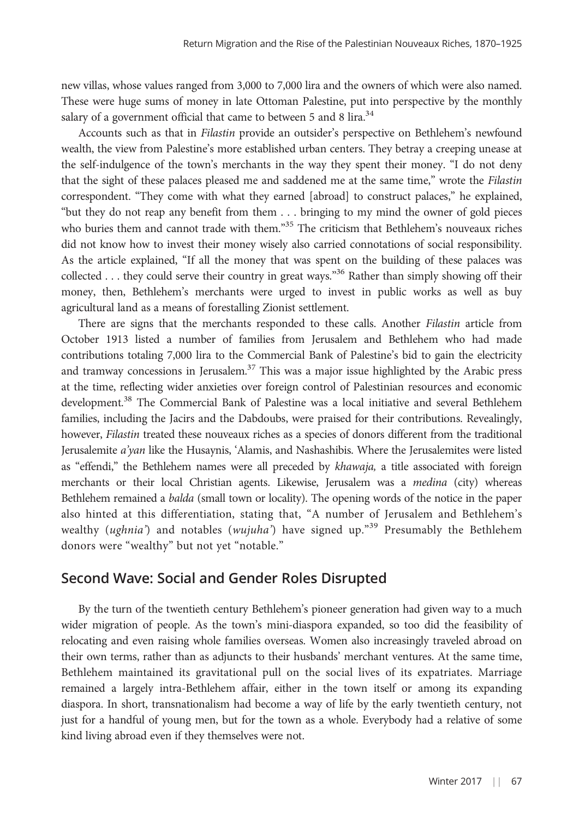new villas, whose values ranged from 3,000 to 7,000 lira and the owners of which were also named. These were huge sums of money in late Ottoman Palestine, put into perspective by the monthly salary of a government official that came to between 5 and 8 lira.<sup>34</sup>

Accounts such as that in Filastin provide an outsider's perspective on Bethlehem's newfound wealth, the view from Palestine's more established urban centers. They betray a creeping unease at the self-indulgence of the town's merchants in the way they spent their money. "I do not deny that the sight of these palaces pleased me and saddened me at the same time," wrote the Filastin correspondent. "They come with what they earned [abroad] to construct palaces," he explained, "but they do not reap any benefit from them . . . bringing to my mind the owner of gold pieces who buries them and cannot trade with them."<sup>35</sup> The criticism that Bethlehem's nouveaux riches did not know how to invest their money wisely also carried connotations of social responsibility. As the article explained, "If all the money that was spent on the building of these palaces was collected . . . they could serve their country in great ways."<sup>36</sup> Rather than simply showing off their money, then, Bethlehem's merchants were urged to invest in public works as well as buy agricultural land as a means of forestalling Zionist settlement.

There are signs that the merchants responded to these calls. Another Filastin article from October 1913 listed a number of families from Jerusalem and Bethlehem who had made contributions totaling 7,000 lira to the Commercial Bank of Palestine's bid to gain the electricity and tramway concessions in Jerusalem.<sup>37</sup> This was a major issue highlighted by the Arabic press at the time, reflecting wider anxieties over foreign control of Palestinian resources and economic development.<sup>38</sup> The Commercial Bank of Palestine was a local initiative and several Bethlehem families, including the Jacirs and the Dabdoubs, were praised for their contributions. Revealingly, however, Filastin treated these nouveaux riches as a species of donors different from the traditional Jerusalemite a'yan like the Husaynis, 'Alamis, and Nashashibis. Where the Jerusalemites were listed as "effendi," the Bethlehem names were all preceded by khawaja, a title associated with foreign merchants or their local Christian agents. Likewise, Jerusalem was a *medina* (city) whereas Bethlehem remained a balda (small town or locality). The opening words of the notice in the paper also hinted at this differentiation, stating that, "A number of Jerusalem and Bethlehem's wealthy (ughnia') and notables (wujuha') have signed up."<sup>39</sup> Presumably the Bethlehem donors were "wealthy" but not yet "notable."

#### Second Wave: Social and Gender Roles Disrupted

By the turn of the twentieth century Bethlehem's pioneer generation had given way to a much wider migration of people. As the town's mini-diaspora expanded, so too did the feasibility of relocating and even raising whole families overseas. Women also increasingly traveled abroad on their own terms, rather than as adjuncts to their husbands' merchant ventures. At the same time, Bethlehem maintained its gravitational pull on the social lives of its expatriates. Marriage remained a largely intra-Bethlehem affair, either in the town itself or among its expanding diaspora. In short, transnationalism had become a way of life by the early twentieth century, not just for a handful of young men, but for the town as a whole. Everybody had a relative of some kind living abroad even if they themselves were not.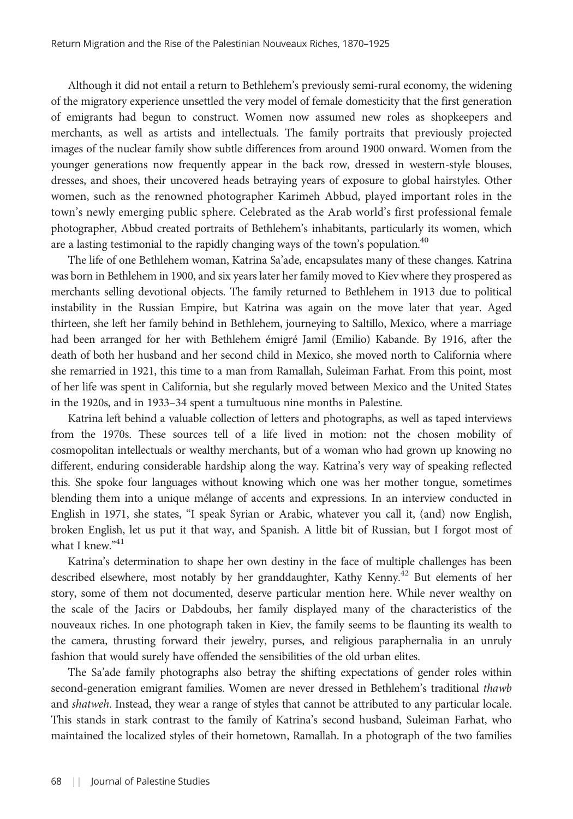Although it did not entail a return to Bethlehem's previously semi-rural economy, the widening of the migratory experience unsettled the very model of female domesticity that the first generation of emigrants had begun to construct. Women now assumed new roles as shopkeepers and merchants, as well as artists and intellectuals. The family portraits that previously projected images of the nuclear family show subtle differences from around 1900 onward. Women from the younger generations now frequently appear in the back row, dressed in western-style blouses, dresses, and shoes, their uncovered heads betraying years of exposure to global hairstyles. Other women, such as the renowned photographer Karimeh Abbud, played important roles in the town's newly emerging public sphere. Celebrated as the Arab world's first professional female photographer, Abbud created portraits of Bethlehem's inhabitants, particularly its women, which are a lasting testimonial to the rapidly changing ways of the town's population.<sup>40</sup>

The life of one Bethlehem woman, Katrina Sa'ade, encapsulates many of these changes. Katrina was born in Bethlehem in 1900, and six years later her family moved to Kiev where they prospered as merchants selling devotional objects. The family returned to Bethlehem in 1913 due to political instability in the Russian Empire, but Katrina was again on the move later that year. Aged thirteen, she left her family behind in Bethlehem, journeying to Saltillo, Mexico, where a marriage had been arranged for her with Bethlehem émigré Jamil (Emilio) Kabande. By 1916, after the death of both her husband and her second child in Mexico, she moved north to California where she remarried in 1921, this time to a man from Ramallah, Suleiman Farhat. From this point, most of her life was spent in California, but she regularly moved between Mexico and the United States in the 1920s, and in 1933–34 spent a tumultuous nine months in Palestine.

Katrina left behind a valuable collection of letters and photographs, as well as taped interviews from the 1970s. These sources tell of a life lived in motion: not the chosen mobility of cosmopolitan intellectuals or wealthy merchants, but of a woman who had grown up knowing no different, enduring considerable hardship along the way. Katrina's very way of speaking reflected this. She spoke four languages without knowing which one was her mother tongue, sometimes blending them into a unique mélange of accents and expressions. In an interview conducted in English in 1971, she states, "I speak Syrian or Arabic, whatever you call it, (and) now English, broken English, let us put it that way, and Spanish. A little bit of Russian, but I forgot most of what I knew."<sup>41</sup>

Katrina's determination to shape her own destiny in the face of multiple challenges has been described elsewhere, most notably by her granddaughter, Kathy Kenny.<sup>42</sup> But elements of her story, some of them not documented, deserve particular mention here. While never wealthy on the scale of the Jacirs or Dabdoubs, her family displayed many of the characteristics of the nouveaux riches. In one photograph taken in Kiev, the family seems to be flaunting its wealth to the camera, thrusting forward their jewelry, purses, and religious paraphernalia in an unruly fashion that would surely have offended the sensibilities of the old urban elites.

The Sa'ade family photographs also betray the shifting expectations of gender roles within second-generation emigrant families. Women are never dressed in Bethlehem's traditional thawb and shatweh. Instead, they wear a range of styles that cannot be attributed to any particular locale. This stands in stark contrast to the family of Katrina's second husband, Suleiman Farhat, who maintained the localized styles of their hometown, Ramallah. In a photograph of the two families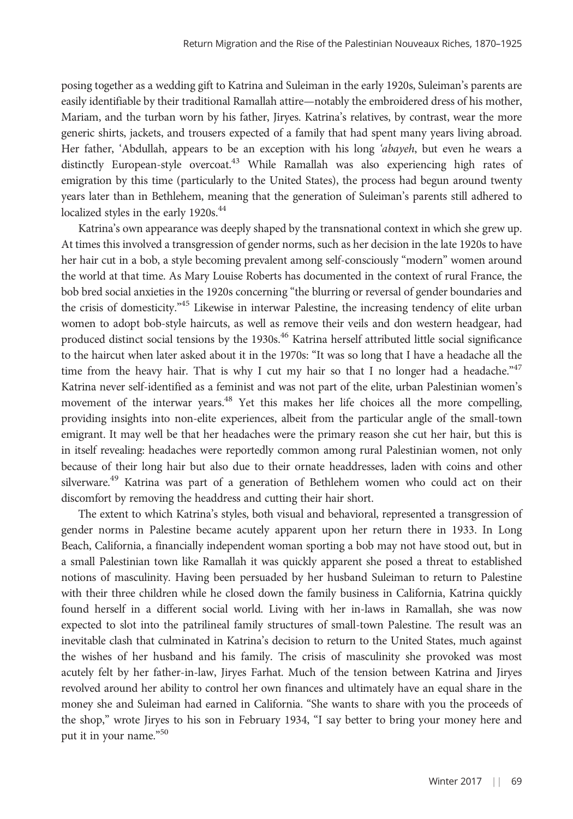posing together as a wedding gift to Katrina and Suleiman in the early 1920s, Suleiman's parents are easily identifiable by their traditional Ramallah attire—notably the embroidered dress of his mother, Mariam, and the turban worn by his father, Jiryes. Katrina's relatives, by contrast, wear the more generic shirts, jackets, and trousers expected of a family that had spent many years living abroad. Her father, 'Abdullah, appears to be an exception with his long 'abayeh, but even he wears a distinctly European-style overcoat.<sup>43</sup> While Ramallah was also experiencing high rates of emigration by this time (particularly to the United States), the process had begun around twenty years later than in Bethlehem, meaning that the generation of Suleiman's parents still adhered to localized styles in the early 1920s.<sup>44</sup>

Katrina's own appearance was deeply shaped by the transnational context in which she grew up. At times this involved a transgression of gender norms, such as her decision in the late 1920s to have her hair cut in a bob, a style becoming prevalent among self-consciously "modern" women around the world at that time. As Mary Louise Roberts has documented in the context of rural France, the bob bred social anxieties in the 1920s concerning "the blurring or reversal of gender boundaries and the crisis of domesticity."<sup>45</sup> Likewise in interwar Palestine, the increasing tendency of elite urban women to adopt bob-style haircuts, as well as remove their veils and don western headgear, had produced distinct social tensions by the 1930s.<sup>46</sup> Katrina herself attributed little social significance to the haircut when later asked about it in the 1970s: "It was so long that I have a headache all the time from the heavy hair. That is why I cut my hair so that I no longer had a headache." $47$ Katrina never self-identified as a feminist and was not part of the elite, urban Palestinian women's movement of the interwar years.<sup>48</sup> Yet this makes her life choices all the more compelling, providing insights into non-elite experiences, albeit from the particular angle of the small-town emigrant. It may well be that her headaches were the primary reason she cut her hair, but this is in itself revealing: headaches were reportedly common among rural Palestinian women, not only because of their long hair but also due to their ornate headdresses, laden with coins and other silverware.<sup>49</sup> Katrina was part of a generation of Bethlehem women who could act on their discomfort by removing the headdress and cutting their hair short.

The extent to which Katrina's styles, both visual and behavioral, represented a transgression of gender norms in Palestine became acutely apparent upon her return there in 1933. In Long Beach, California, a financially independent woman sporting a bob may not have stood out, but in a small Palestinian town like Ramallah it was quickly apparent she posed a threat to established notions of masculinity. Having been persuaded by her husband Suleiman to return to Palestine with their three children while he closed down the family business in California, Katrina quickly found herself in a different social world. Living with her in-laws in Ramallah, she was now expected to slot into the patrilineal family structures of small-town Palestine. The result was an inevitable clash that culminated in Katrina's decision to return to the United States, much against the wishes of her husband and his family. The crisis of masculinity she provoked was most acutely felt by her father-in-law, Jiryes Farhat. Much of the tension between Katrina and Jiryes revolved around her ability to control her own finances and ultimately have an equal share in the money she and Suleiman had earned in California. "She wants to share with you the proceeds of the shop," wrote Jiryes to his son in February 1934, "I say better to bring your money here and put it in your name." 50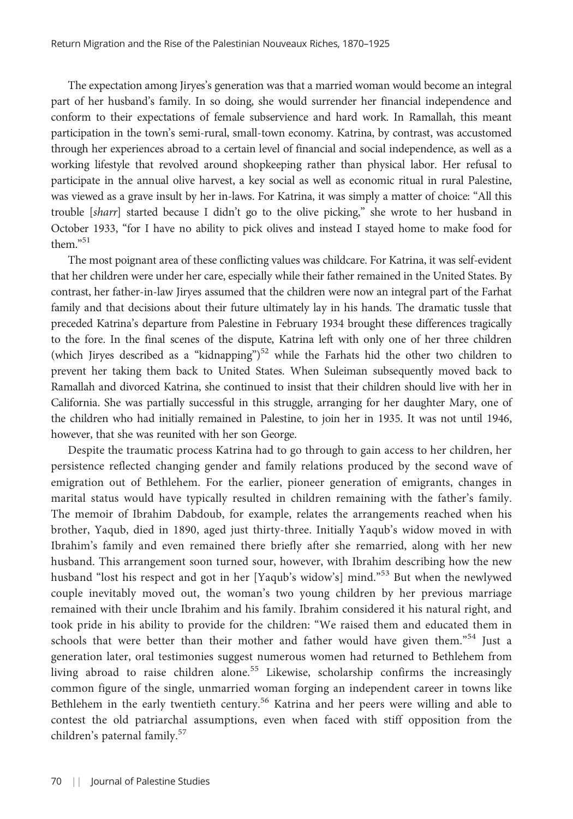The expectation among Jiryes's generation was that a married woman would become an integral part of her husband's family. In so doing, she would surrender her financial independence and conform to their expectations of female subservience and hard work. In Ramallah, this meant participation in the town's semi-rural, small-town economy. Katrina, by contrast, was accustomed through her experiences abroad to a certain level of financial and social independence, as well as a working lifestyle that revolved around shopkeeping rather than physical labor. Her refusal to participate in the annual olive harvest, a key social as well as economic ritual in rural Palestine, was viewed as a grave insult by her in-laws. For Katrina, it was simply a matter of choice: "All this trouble [sharr] started because I didn't go to the olive picking," she wrote to her husband in October 1933, "for I have no ability to pick olives and instead I stayed home to make food for them." 51

The most poignant area of these conflicting values was childcare. For Katrina, it was self-evident that her children were under her care, especially while their father remained in the United States. By contrast, her father-in-law Jiryes assumed that the children were now an integral part of the Farhat family and that decisions about their future ultimately lay in his hands. The dramatic tussle that preceded Katrina's departure from Palestine in February 1934 brought these differences tragically to the fore. In the final scenes of the dispute, Katrina left with only one of her three children (which Jiryes described as a "kidnapping")<sup>52</sup> while the Farhats hid the other two children to prevent her taking them back to United States. When Suleiman subsequently moved back to Ramallah and divorced Katrina, she continued to insist that their children should live with her in California. She was partially successful in this struggle, arranging for her daughter Mary, one of the children who had initially remained in Palestine, to join her in 1935. It was not until 1946, however, that she was reunited with her son George.

Despite the traumatic process Katrina had to go through to gain access to her children, her persistence reflected changing gender and family relations produced by the second wave of emigration out of Bethlehem. For the earlier, pioneer generation of emigrants, changes in marital status would have typically resulted in children remaining with the father's family. The memoir of Ibrahim Dabdoub, for example, relates the arrangements reached when his brother, Yaqub, died in 1890, aged just thirty-three. Initially Yaqub's widow moved in with Ibrahim's family and even remained there briefly after she remarried, along with her new husband. This arrangement soon turned sour, however, with Ibrahim describing how the new husband "lost his respect and got in her [Yaqub's widow's] mind."<sup>53</sup> But when the newlywed couple inevitably moved out, the woman's two young children by her previous marriage remained with their uncle Ibrahim and his family. Ibrahim considered it his natural right, and took pride in his ability to provide for the children: "We raised them and educated them in schools that were better than their mother and father would have given them."<sup>54</sup> Just a generation later, oral testimonies suggest numerous women had returned to Bethlehem from living abroad to raise children alone.<sup>55</sup> Likewise, scholarship confirms the increasingly common figure of the single, unmarried woman forging an independent career in towns like Bethlehem in the early twentieth century.<sup>56</sup> Katrina and her peers were willing and able to contest the old patriarchal assumptions, even when faced with stiff opposition from the children's paternal family.<sup>57</sup>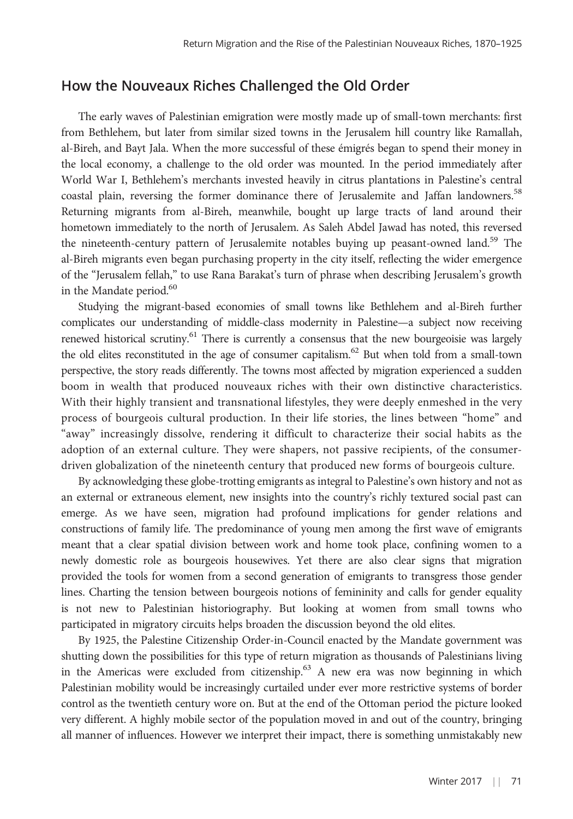#### How the Nouveaux Riches Challenged the Old Order

The early waves of Palestinian emigration were mostly made up of small-town merchants: first from Bethlehem, but later from similar sized towns in the Jerusalem hill country like Ramallah, al-Bireh, and Bayt Jala. When the more successful of these émigrés began to spend their money in the local economy, a challenge to the old order was mounted. In the period immediately after World War I, Bethlehem's merchants invested heavily in citrus plantations in Palestine's central coastal plain, reversing the former dominance there of Jerusalemite and Jaffan landowners.<sup>58</sup> Returning migrants from al-Bireh, meanwhile, bought up large tracts of land around their hometown immediately to the north of Jerusalem. As Saleh Abdel Jawad has noted, this reversed the nineteenth-century pattern of Jerusalemite notables buying up peasant-owned land.<sup>59</sup> The al-Bireh migrants even began purchasing property in the city itself, reflecting the wider emergence of the "Jerusalem fellah," to use Rana Barakat's turn of phrase when describing Jerusalem's growth in the Mandate period.<sup>60</sup>

Studying the migrant-based economies of small towns like Bethlehem and al-Bireh further complicates our understanding of middle-class modernity in Palestine—a subject now receiving renewed historical scrutiny.<sup>61</sup> There is currently a consensus that the new bourgeoisie was largely the old elites reconstituted in the age of consumer capitalism.<sup>62</sup> But when told from a small-town perspective, the story reads differently. The towns most affected by migration experienced a sudden boom in wealth that produced nouveaux riches with their own distinctive characteristics. With their highly transient and transnational lifestyles, they were deeply enmeshed in the very process of bourgeois cultural production. In their life stories, the lines between "home" and "away" increasingly dissolve, rendering it difficult to characterize their social habits as the adoption of an external culture. They were shapers, not passive recipients, of the consumerdriven globalization of the nineteenth century that produced new forms of bourgeois culture.

By acknowledging these globe-trotting emigrants as integral to Palestine's own history and not as an external or extraneous element, new insights into the country's richly textured social past can emerge. As we have seen, migration had profound implications for gender relations and constructions of family life. The predominance of young men among the first wave of emigrants meant that a clear spatial division between work and home took place, confining women to a newly domestic role as bourgeois housewives. Yet there are also clear signs that migration provided the tools for women from a second generation of emigrants to transgress those gender lines. Charting the tension between bourgeois notions of femininity and calls for gender equality is not new to Palestinian historiography. But looking at women from small towns who participated in migratory circuits helps broaden the discussion beyond the old elites.

By 1925, the Palestine Citizenship Order-in-Council enacted by the Mandate government was shutting down the possibilities for this type of return migration as thousands of Palestinians living in the Americas were excluded from citizenship.<sup>63</sup> A new era was now beginning in which Palestinian mobility would be increasingly curtailed under ever more restrictive systems of border control as the twentieth century wore on. But at the end of the Ottoman period the picture looked very different. A highly mobile sector of the population moved in and out of the country, bringing all manner of influences. However we interpret their impact, there is something unmistakably new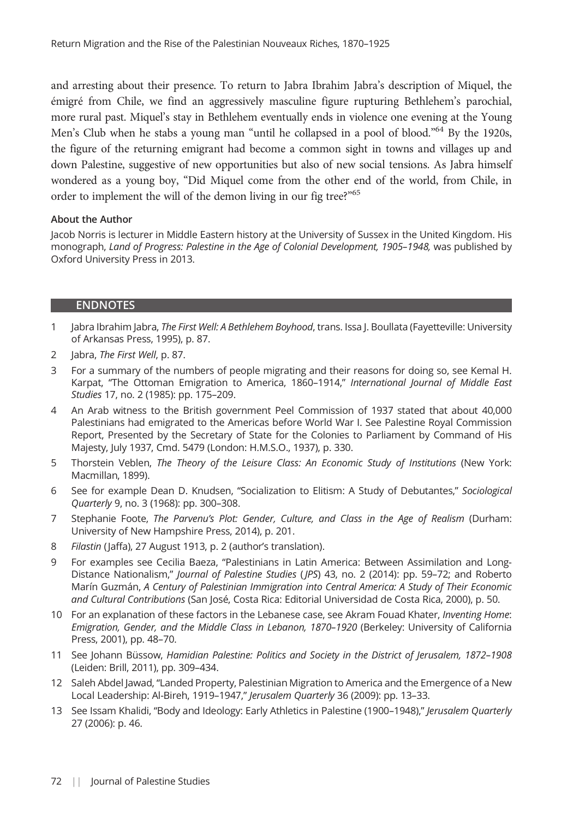and arresting about their presence. To return to Jabra Ibrahim Jabra's description of Miquel, the émigré from Chile, we find an aggressively masculine figure rupturing Bethlehem's parochial, more rural past. Miquel's stay in Bethlehem eventually ends in violence one evening at the Young Men's Club when he stabs a young man "until he collapsed in a pool of blood."<sup>64</sup> By the 1920s, the figure of the returning emigrant had become a common sight in towns and villages up and down Palestine, suggestive of new opportunities but also of new social tensions. As Jabra himself wondered as a young boy, "Did Miquel come from the other end of the world, from Chile, in order to implement the will of the demon living in our fig tree?"<sup>65</sup>

#### About the Author

Jacob Norris is lecturer in Middle Eastern history at the University of Sussex in the United Kingdom. His monograph, *Land of Progress: Palestine in the Age of Colonial Development, 1905*–*1948,* was published by Oxford University Press in 2013.

#### ENDNOTES

- 1 Jabra Ibrahim Jabra, *The First Well: A Bethlehem Boyhood*, trans. Issa J. Boullata (Fayetteville: University of Arkansas Press, 1995), p. 87.
- 2 Jabra, *The First Well*, p. 87.
- 3 For a summary of the numbers of people migrating and their reasons for doing so, see Kemal H. Karpat, "The Ottoman Emigration to America, 1860–1914," *International Journal of Middle East Studies* 17, no. 2 (1985): pp. 175–209.
- 4 An Arab witness to the British government Peel Commission of 1937 stated that about 40,000 Palestinians had emigrated to the Americas before World War I. See Palestine Royal Commission Report, Presented by the Secretary of State for the Colonies to Parliament by Command of His Majesty, July 1937, Cmd. 5479 (London: H.M.S.O., 1937), p. 330.
- 5 Thorstein Veblen, *The Theory of the Leisure Class: An Economic Study of Institutions* (New York: Macmillan, 1899).
- 6 See for example Dean D. Knudsen, "Socialization to Elitism: A Study of Debutantes," *Sociological Quarterly* 9, no. 3 (1968): pp. 300–308.
- 7 Stephanie Foote, *The Parvenu*'*s Plot: Gender, Culture, and Class in the Age of Realism* (Durham: University of New Hampshire Press, 2014), p. 201.
- 8 *Filastin* (Jaffa), 27 August 1913, p. 2 (author's translation).
- 9 For examples see Cecilia Baeza, "Palestinians in Latin America: Between Assimilation and Long-Distance Nationalism," *Journal of Palestine Studies* ( *JPS*) 43, no. 2 (2014): pp. 59–72; and Roberto Marín Guzmán, *A Century of Palestinian Immigration into Central America: A Study of Their Economic and Cultural Contributions* (San José, Costa Rica: Editorial Universidad de Costa Rica, 2000), p. 50.
- 10 For an explanation of these factors in the Lebanese case, see Akram Fouad Khater, *Inventing Home*: *Emigration, Gender, and the Middle Class in Lebanon, 1870*–*1920* (Berkeley: University of California Press, 2001), pp. 48–70.
- 11 See Johann Büssow, *Hamidian Palestine: Politics and Society in the District of Jerusalem, 1872*–*1908* (Leiden: Brill, 2011), pp. 309–434.
- 12 Saleh Abdel Jawad, "Landed Property, Palestinian Migration to America and the Emergence of a New Local Leadership: Al-Bireh, 1919–1947," *Jerusalem Quarterly* 36 (2009): pp. 13–33.
- 13 See Issam Khalidi, "Body and Ideology: Early Athletics in Palestine (1900–1948)," *Jerusalem Quarterly* 27 (2006): p. 46.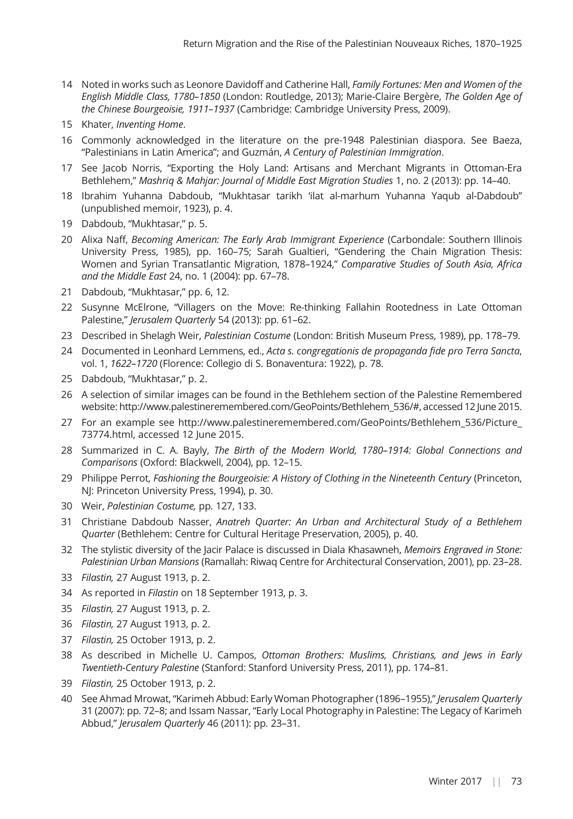- 14 Noted in works such as Leonore Davidoff and Catherine Hall, *Family Fortunes: Men and Women of the English Middle Class, 1780*–*1850* (London: Routledge, 2013); Marie-Claire Bergère, *The Golden Age of the Chinese Bourgeoisie, 1911*–*1937* (Cambridge: Cambridge University Press, 2009).
- 15 Khater, *Inventing Home*.
- 16 Commonly acknowledged in the literature on the pre-1948 Palestinian diaspora. See Baeza, "Palestinians in Latin America"; and Guzmán, *A Century of Palestinian Immigration*.
- 17 See Jacob Norris, "Exporting the Holy Land: Artisans and Merchant Migrants in Ottoman-Era Bethlehem," *Mashriq & Mahjar: Journal of Middle East Migration Studies* 1, no. 2 (2013): pp. 14–40.
- 18 Ibrahim Yuhanna Dabdoub, "Mukhtasar tarikh 'ilat al-marhum Yuhanna Yaqub al-Dabdoub" (unpublished memoir, 1923), p. 4.
- 19 Dabdoub, "Mukhtasar," p. 5.
- 20 Alixa Naff, *Becoming American: The Early Arab Immigrant Experience* (Carbondale: Southern Illinois University Press, 1985), pp. 160–75; Sarah Gualtieri, "Gendering the Chain Migration Thesis: Women and Syrian Transatlantic Migration, 1878–1924," *Comparative Studies of South Asia, Africa and the Middle East* 24, no. 1 (2004): pp. 67–78.
- 21 Dabdoub, "Mukhtasar," pp. 6, 12.
- 22 Susynne McElrone, "Villagers on the Move: Re-thinking Fallahin Rootedness in Late Ottoman Palestine," *Jerusalem Quarterly* 54 (2013): pp. 61–62.
- 23 Described in Shelagh Weir, *Palestinian Costume* (London: British Museum Press, 1989), pp. 178–79.
- 24 Documented in Leonhard Lemmens, ed., *Acta s. congregationis de propaganda fide pro Terra Sancta*, vol. 1, *1622*–*1720* (Florence: Collegio di S. Bonaventura: 1922), p. 78.
- 25 Dabdoub, "Mukhtasar," p. 2.
- 26 A selection of similar images can be found in the Bethlehem section of the Palestine Remembered website: [http://www.palestineremembered.com/GeoPoints/Bethlehem\\_536/#,](http://www.palestineremembered.com/GeoPoints/Bethlehem<?show [CSF char=) accessed 12 June 2015.
- 27 For an example see [http://www.palestineremembered.com/GeoPoints/Bethlehem\\_536/Picture\\_](http://www.palestineremembered.com/GeoPoints/Bethlehem<?show [CSF char=) [73774.html](http://www.palestineremembered.com/GeoPoints/Bethlehem<?show [CSF char=), accessed 12 June 2015.
- 28 Summarized in C. A. Bayly, *The Birth of the Modern World, 1780*–*1914: Global Connections and Comparisons* (Oxford: Blackwell, 2004), pp. 12–15.
- 29 Philippe Perrot, *Fashioning the Bourgeoisie: A History of Clothing in the Nineteenth Century* (Princeton, NJ: Princeton University Press, 1994), p. 30.
- 30 Weir, *Palestinian Costume,* pp. 127, 133.
- 31 Christiane Dabdoub Nasser, *Anatreh Quarter: An Urban and Architectural Study of a Bethlehem Quarter* (Bethlehem: Centre for Cultural Heritage Preservation, 2005), p. 40.
- 32 The stylistic diversity of the Jacir Palace is discussed in Diala Khasawneh, *Memoirs Engraved in Stone: Palestinian Urban Mansions* (Ramallah: Riwaq Centre for Architectural Conservation, 2001), pp. 23–28.
- 33 *Filastin,* 27 August 1913, p. 2.
- 34 As reported in *Filastin* on 18 September 1913, p. 3.
- 35 *Filastin,* 27 August 1913, p. 2.
- 36 *Filastin,* 27 August 1913, p. 2.
- 37 *Filastin,* 25 October 1913, p. 2.
- 38 As described in Michelle U. Campos, *Ottoman Brothers: Muslims, Christians, and Jews in Early Twentieth-Century Palestine* (Stanford: Stanford University Press, 2011), pp. 174–81.
- 39 *Filastin,* 25 October 1913, p. 2.
- 40 See Ahmad Mrowat, "Karimeh Abbud: Early Woman Photographer (1896–1955)," *Jerusalem Quarterly* 31 (2007): pp. 72–8; and Issam Nassar, "Early Local Photography in Palestine: The Legacy of Karimeh Abbud," *Jerusalem Quarterly* 46 (2011): pp. 23–31.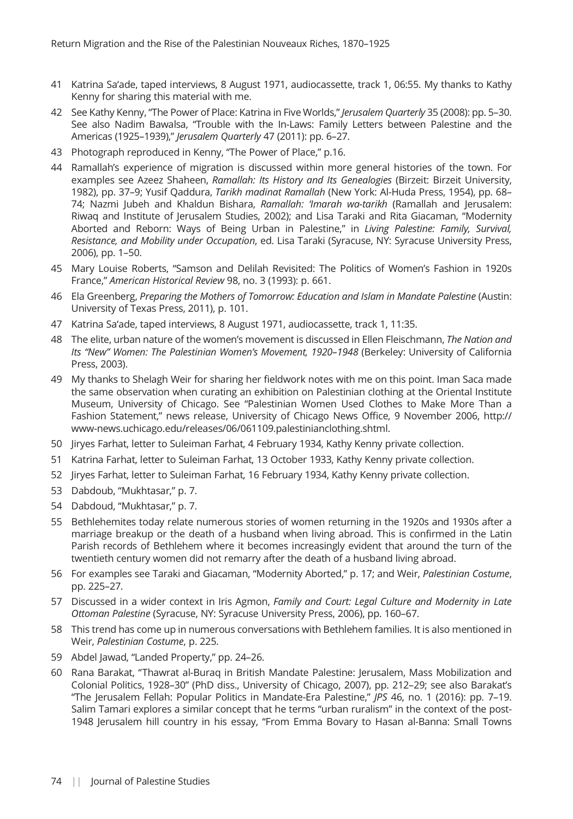- 41 Katrina Sa'ade, taped interviews, 8 August 1971, audiocassette, track 1, 06:55. My thanks to Kathy Kenny for sharing this material with me.
- 42 See Kathy Kenny, "The Power of Place: Katrina in Five Worlds," *Jerusalem Quarterly* 35 (2008): pp. 5–30. See also Nadim Bawalsa, "Trouble with the In-Laws: Family Letters between Palestine and the Americas (1925–1939)," *Jerusalem Quarterly* 47 (2011): pp. 6–27.
- 43 Photograph reproduced in Kenny, "The Power of Place," p.16.
- 44 Ramallah's experience of migration is discussed within more general histories of the town. For examples see Azeez Shaheen, *Ramallah: Its History and Its Genealogies* (Birzeit: Birzeit University, 1982), pp. 37–9; Yusif Qaddura, *Tarikh madinat Ramallah* (New York: Al-Huda Press, 1954), pp. 68– 74; Nazmi Jubeh and Khaldun Bishara, *Ramallah:* '*Imarah wa-tarikh* (Ramallah and Jerusalem: Riwaq and Institute of Jerusalem Studies, 2002); and Lisa Taraki and Rita Giacaman, "Modernity Aborted and Reborn: Ways of Being Urban in Palestine," in *Living Palestine: Family, Survival, Resistance, and Mobility under Occupation*, ed. Lisa Taraki (Syracuse, NY: Syracuse University Press, 2006), pp. 1–50.
- 45 Mary Louise Roberts, "Samson and Delilah Revisited: The Politics of Women's Fashion in 1920s France," *American Historical Review* 98, no. 3 (1993): p. 661.
- 46 Ela Greenberg, *Preparing the Mothers of Tomorrow: Education and Islam in Mandate Palestine* (Austin: University of Texas Press, 2011), p. 101.
- 47 Katrina Sa'ade, taped interviews, 8 August 1971, audiocassette, track 1, 11:35.
- 48 The elite, urban nature of the women's movement is discussed in Ellen Fleischmann, *The Nation and Its* "*New*" *Women: The Palestinian Women*'*s Movement, 1920*–*1948* (Berkeley: University of California Press, 2003).
- 49 My thanks to Shelagh Weir for sharing her fieldwork notes with me on this point. Iman Saca made the same observation when curating an exhibition on Palestinian clothing at the Oriental Institute Museum, University of Chicago. See "Palestinian Women Used Clothes to Make More Than a Fashion Statement," news release, University of Chicago News Office, 9 November 2006, [http://](http://www-news.uchicago.edu/releases/06/061109.palestinianclothing.shtml) [www-news.uchicago.edu/releases/06/061109.palestinianclothing.shtml](http://www-news.uchicago.edu/releases/06/061109.palestinianclothing.shtml).
- 50 Jiryes Farhat, letter to Suleiman Farhat, 4 February 1934, Kathy Kenny private collection.
- 51 Katrina Farhat, letter to Suleiman Farhat, 13 October 1933, Kathy Kenny private collection.
- 52 Jiryes Farhat, letter to Suleiman Farhat, 16 February 1934, Kathy Kenny private collection.
- 53 Dabdoub, "Mukhtasar," p. 7.
- 54 Dabdoud, "Mukhtasar," p. 7.
- 55 Bethlehemites today relate numerous stories of women returning in the 1920s and 1930s after a marriage breakup or the death of a husband when living abroad. This is confirmed in the Latin Parish records of Bethlehem where it becomes increasingly evident that around the turn of the twentieth century women did not remarry after the death of a husband living abroad.
- 56 For examples see Taraki and Giacaman, "Modernity Aborted," p. 17; and Weir, *Palestinian Costume*, pp. 225–27.
- 57 Discussed in a wider context in Iris Agmon, *Family and Court: Legal Culture and Modernity in Late Ottoman Palestine* (Syracuse, NY: Syracuse University Press, 2006), pp. 160–67.
- 58 This trend has come up in numerous conversations with Bethlehem families. It is also mentioned in Weir, *Palestinian Costume*, p. 225.
- 59 Abdel Jawad, "Landed Property," pp. 24–26.
- 60 Rana Barakat, "Thawrat al-Buraq in British Mandate Palestine: Jerusalem, Mass Mobilization and Colonial Politics, 1928–30" (PhD diss., University of Chicago, 2007), pp. 212–29; see also Barakat's "The Jerusalem Fellah: Popular Politics in Mandate-Era Palestine," *JPS* 46, no. 1 (2016): pp. 7–19. Salim Tamari explores a similar concept that he terms "urban ruralism" in the context of the post-1948 Jerusalem hill country in his essay, "From Emma Bovary to Hasan al-Banna: Small Towns